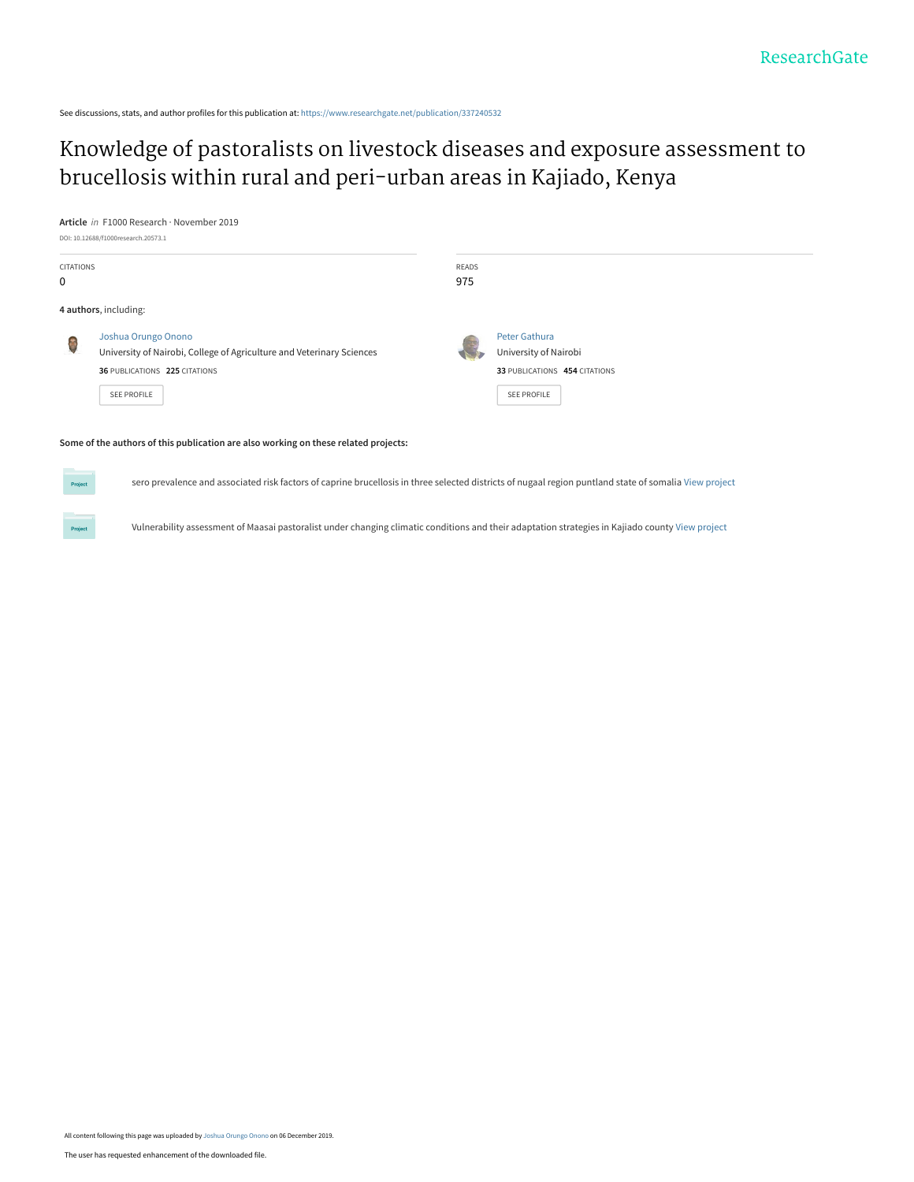See discussions, stats, and author profiles for this publication at: [https://www.researchgate.net/publication/337240532](https://www.researchgate.net/publication/337240532_Knowledge_of_pastoralists_on_livestock_diseases_and_exposure_assessment_to_brucellosis_within_rural_and_peri-urban_areas_in_Kajiado_Kenya?enrichId=rgreq-5a3a04478ab6d9cb508865a69fb15bcf-XXX&enrichSource=Y292ZXJQYWdlOzMzNzI0MDUzMjtBUzo4MzMwMzQ1MjU4ODg1MTRAMTU3NTYyMjMxNjMwNw%3D%3D&el=1_x_2&_esc=publicationCoverPdf)

## [Knowledge of pastoralists on livestock diseases and exposure assessment to](https://www.researchgate.net/publication/337240532_Knowledge_of_pastoralists_on_livestock_diseases_and_exposure_assessment_to_brucellosis_within_rural_and_peri-urban_areas_in_Kajiado_Kenya?enrichId=rgreq-5a3a04478ab6d9cb508865a69fb15bcf-XXX&enrichSource=Y292ZXJQYWdlOzMzNzI0MDUzMjtBUzo4MzMwMzQ1MjU4ODg1MTRAMTU3NTYyMjMxNjMwNw%3D%3D&el=1_x_3&_esc=publicationCoverPdf) brucellosis within rural and peri-urban areas in Kajiado, Kenya

**Article** in F1000 Research · November 2019

Project

|                  | DOI: 10.12688/f1000research.20573.1                                   |              |                               |  |
|------------------|-----------------------------------------------------------------------|--------------|-------------------------------|--|
| <b>CITATIONS</b> |                                                                       | <b>READS</b> |                               |  |
| 0                |                                                                       | 975          |                               |  |
|                  | 4 authors, including:                                                 |              |                               |  |
|                  | Joshua Orungo Onono                                                   |              | Peter Gathura                 |  |
|                  | University of Nairobi, College of Agriculture and Veterinary Sciences |              | University of Nairobi         |  |
|                  | 36 PUBLICATIONS 225 CITATIONS                                         |              | 33 PUBLICATIONS 454 CITATIONS |  |
|                  | <b>SEE PROFILE</b>                                                    |              | <b>SEE PROFILE</b>            |  |
|                  |                                                                       |              |                               |  |

#### **Some of the authors of this publication are also working on these related projects:**

sero prevalence and associated risk factors of caprine brucellosis in three selected districts of nugaal region puntland state of somalia [View project](https://www.researchgate.net/project/sero-prevalence-and-associated-risk-factors-of-caprine-brucellosis-in-three-selected-districts-of-nugaal-region-puntland-state-of-somalia?enrichId=rgreq-5a3a04478ab6d9cb508865a69fb15bcf-XXX&enrichSource=Y292ZXJQYWdlOzMzNzI0MDUzMjtBUzo4MzMwMzQ1MjU4ODg1MTRAMTU3NTYyMjMxNjMwNw%3D%3D&el=1_x_9&_esc=publicationCoverPdf)

Vulnerability assessment of Maasai pastoralist under changing climatic conditions and their adaptation strategies in Kajiado county [View project](https://www.researchgate.net/project/Vulnerability-assessment-of-Maasai-pastoralist-under-changing-climatic-conditions-and-their-adaptation-strategies-in-Kajiado-county?enrichId=rgreq-5a3a04478ab6d9cb508865a69fb15bcf-XXX&enrichSource=Y292ZXJQYWdlOzMzNzI0MDUzMjtBUzo4MzMwMzQ1MjU4ODg1MTRAMTU3NTYyMjMxNjMwNw%3D%3D&el=1_x_9&_esc=publicationCoverPdf)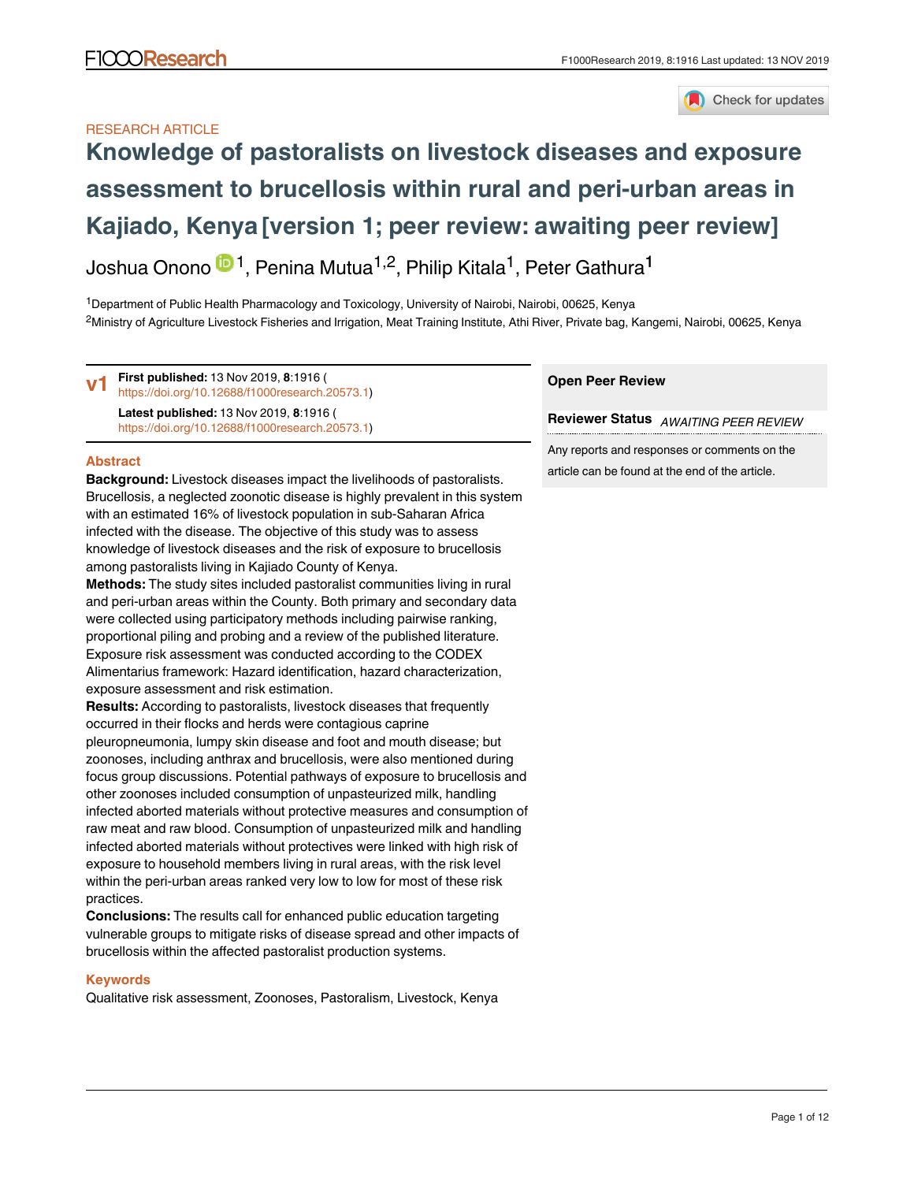

### RESEARCH ARTICLE

# **[Knowledge of pastoralists on livestock diseases and exposure](https://f1000research.com/articles/8-1916/v1) [assessment to brucellosis within rural and peri-urban areas in](https://f1000research.com/articles/8-1916/v1) [Kajiado, Kenya](https://f1000research.com/articles/8-1916/v1) [version 1; peer review: awaiting peer review]**

Joshua Onono <sup>in 1</sup>, Penina Mutua<sup>1,2</sup>, Philip Kitala<sup>1</sup>, Peter Gathura<sup>1</sup>

<sup>1</sup>Department of Public Health Pharmacology and Toxicology, University of Nairobi, Nairobi, 00625, Kenya <sup>2</sup>Ministry of Agriculture Livestock Fisheries and Irrigation, Meat Training Institute, Athi River, Private bag, Kangemi, Nairobi, 00625, Kenya

**First published:** 13 Nov 2019, **8**:1916 ( <https://doi.org/10.12688/f1000research.20573.1>) **Latest published:** 13 Nov 2019, **8**:1916 ( <https://doi.org/10.12688/f1000research.20573.1>) **v1**

#### **Abstract**

**Background:** Livestock diseases impact the livelihoods of pastoralists. Brucellosis, a neglected zoonotic disease is highly prevalent in this system with an estimated 16% of livestock population in sub-Saharan Africa infected with the disease. The objective of this study was to assess knowledge of livestock diseases and the risk of exposure to brucellosis among pastoralists living in Kajiado County of Kenya.

**Methods:** The study sites included pastoralist communities living in rural and peri-urban areas within the County. Both primary and secondary data were collected using participatory methods including pairwise ranking, proportional piling and probing and a review of the published literature. Exposure risk assessment was conducted according to the CODEX Alimentarius framework: Hazard identification, hazard characterization, exposure assessment and risk estimation.

**Results:** According to pastoralists, livestock diseases that frequently occurred in their flocks and herds were contagious caprine pleuropneumonia, lumpy skin disease and foot and mouth disease; but zoonoses, including anthrax and brucellosis, were also mentioned during focus group discussions. Potential pathways of exposure to brucellosis and other zoonoses included consumption of unpasteurized milk, handling infected aborted materials without protective measures and consumption of raw meat and raw blood. Consumption of unpasteurized milk and handling infected aborted materials without protectives were linked with high risk of exposure to household members living in rural areas, with the risk level within the peri-urban areas ranked very low to low for most of these risk practices.

**Conclusions:** The results call for enhanced public education targeting vulnerable groups to mitigate risks of disease spread and other impacts of brucellosis within the affected pastoralist production systems.

#### **Keywords**

Qualitative risk assessment, Zoonoses, Pastoralism, Livestock, Kenya

#### **Open Peer Review**

**Reviewer Status** *AWAITING PEER REVIEW*

Any reports and responses or comments on the article can be found at the end of the article.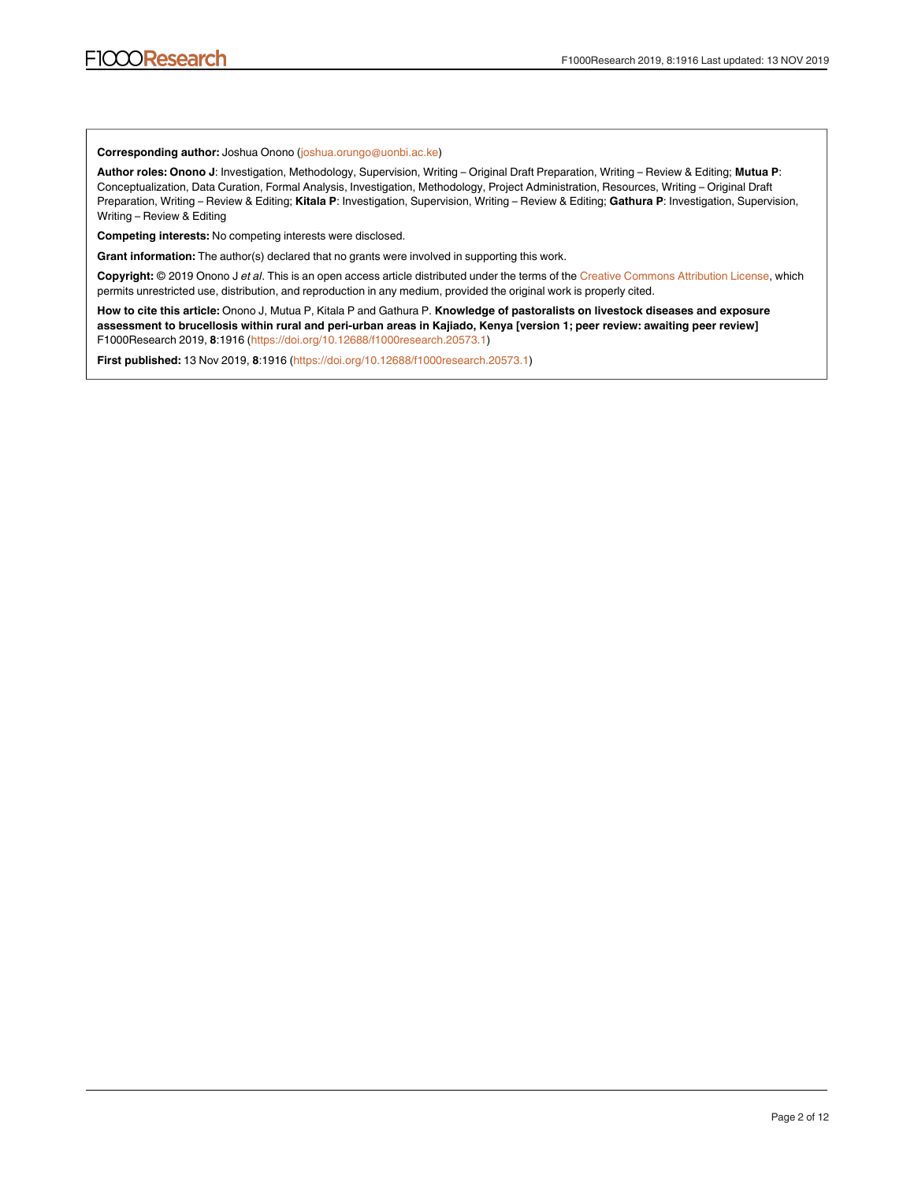#### **Corresponding author:** Joshua Onono (joshua.orungo@uonbi.ac.ke)

**Author roles: Onono J**: Investigation, Methodology, Supervision, Writing – Original Draft Preparation, Writing – Review & Editing; **Mutua P**: Conceptualization, Data Curation, Formal Analysis, Investigation, Methodology, Project Administration, Resources, Writing – Original Draft Preparation, Writing – Review & Editing; **Kitala P**: Investigation, Supervision, Writing – Review & Editing; **Gathura P**: Investigation, Supervision, Writing – Review & Editing

**Competing interests:** No competing interests were disclosed.

**Grant information:** The author(s) declared that no grants were involved in supporting this work.

**Copyright:** © 2019 Onono J *et al*. This is an open access article distributed under the terms of the [Creative Commons Attribution License,](http://creativecommons.org/licenses/by/4.0/) which permits unrestricted use, distribution, and reproduction in any medium, provided the original work is properly cited.

**How to cite this article:** Onono J, Mutua P, Kitala P and Gathura P. **Knowledge of pastoralists on livestock diseases and exposure assessment to brucellosis within rural and peri-urban areas in Kajiado, Kenya [version 1; peer review: awaiting peer review]** F1000Research 2019, **8**:1916 [\(https://doi.org/10.12688/f1000research.20573.1](https://doi.org/10.12688/f1000research.20573.1))

**First published:** 13 Nov 2019, **8**:1916 (<https://doi.org/10.12688/f1000research.20573.1>)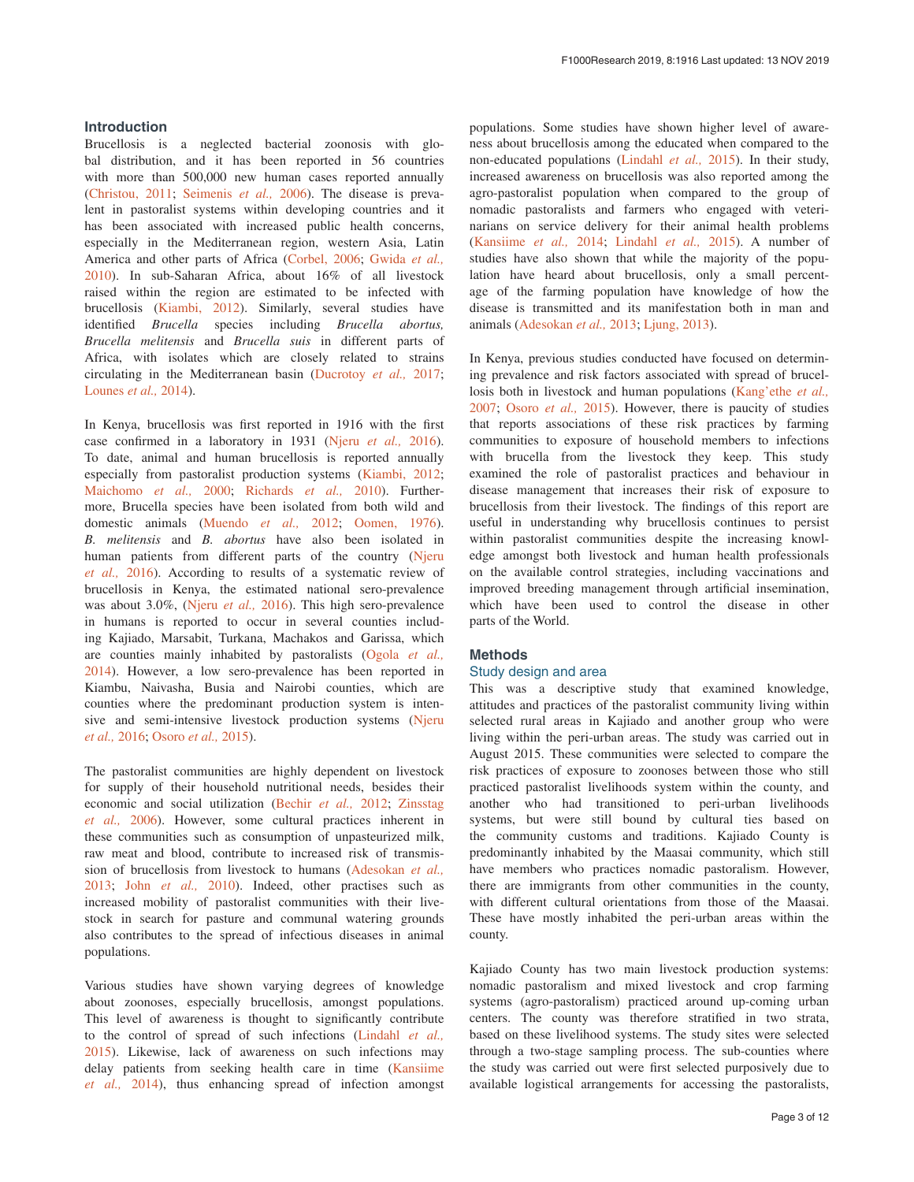#### **Introduction**

Brucellosis is a neglected bacterial zoonosis with global distribution, and it has been reported in 56 countries with more than 500,000 new human cases reported annually ([Christou, 2011;](#page-11-0) [Seimenis](#page-11-0) *et al.,* 2006). The disease is prevalent in pastoralist systems within developing countries and it has been associated with increased public health concerns, especially in the Mediterranean region, western Asia, Latin America and other parts of Africa ([Corbel, 2006;](#page-11-0) [Gwida](#page-11-0) *et al.,* [2010\)](#page-11-0). In sub-Saharan Africa, about 16% of all livestock raised within the region are estimated to be infected with brucellosis [\(Kiambi, 2012\)](#page-11-0). Similarly, several studies have identified *Brucella* species including *Brucella abortus, Brucella melitensis* and *Brucella suis* in different parts of Africa, with isolates which are closely related to strains circulating in the Mediterranean basin [\(Ducrotoy](#page-11-0) *et al.,* 2017; [Lounes](#page-11-0) *et al.,* 2014).

In Kenya, brucellosis was first reported in 1916 with the first case confirmed in a laboratory in 1931 (Njeru *[et al.,](#page-11-0)* 2016). To date, animal and human brucellosis is reported annually especially from pastoralist production systems ([Kiambi, 2012](#page-11-0); [Maichomo](#page-11-0) *et al.,* 2000; [Richards](#page-11-0) *et al.,* 2010). Furthermore, Brucella species have been isolated from both wild and domestic animals [\(Muendo](#page-11-0) *et al.,* 2012; [Oomen, 1976](#page-11-0)). *B. melitensis* and *B. abortus* have also been isolated in human patients from different parts of the country [\(Njeru](#page-11-0)  *et al.,* [2016\)](#page-11-0). According to results of a systematic review of brucellosis in Kenya, the estimated national sero-prevalence was about 3.0%, ([Njeru](#page-11-0) *et al.,* 2016). This high sero-prevalence in humans is reported to occur in several counties including Kajiado, Marsabit, Turkana, Machakos and Garissa, which are counties mainly inhabited by pastoralists [\(Ogola](#page-11-0) *et al.,* [2014\)](#page-11-0). However, a low sero-prevalence has been reported in Kiambu, Naivasha, Busia and Nairobi counties, which are counties where the predominant production system is intensive and semi-intensive livestock production systems [\(Njeru](#page-11-0)  *et al.,* [2016](#page-11-0); [Osoro](#page-11-0) *et al.,* 2015).

The pastoralist communities are highly dependent on livestock for supply of their household nutritional needs, besides their economic and social utilization ([Bechir](#page-10-0) *et al.,* 2012; [Zinsstag](#page-11-0) *et al.,* [2006](#page-11-0)). However, some cultural practices inherent in these communities such as consumption of unpasteurized milk, raw meat and blood, contribute to increased risk of transmission of brucellosis from livestock to humans [\(Adesokan](#page-10-0) *et al.,* [2013;](#page-10-0) John *et al.,* [2010\)](#page-11-0). Indeed, other practises such as increased mobility of pastoralist communities with their livestock in search for pasture and communal watering grounds also contributes to the spread of infectious diseases in animal populations.

Various studies have shown varying degrees of knowledge about zoonoses, especially brucellosis, amongst populations. This level of awareness is thought to significantly contribute to the control of spread of such infections [\(Lindahl](#page-11-0) *et al.,* [2015\)](#page-11-0). Likewise, lack of awareness on such infections may delay patients from seeking health care in time (Kansiime *et al.,* [2014](#page-11-0)), thus enhancing spread of infection amongst

populations. Some studies have shown higher level of awareness about brucellosis among the educated when compared to the non-educated populations [\(Lindahl](#page-11-0) *et al.,* 2015). In their study, increased awareness on brucellosis was also reported among the agro-pastoralist population when compared to the group of nomadic pastoralists and farmers who engaged with veterinarians on service delivery for their animal health problems ([Kansiime](#page-11-0) *et al.,* 2014; [Lindahl](#page-11-0) *et al.,* 2015). A number of studies have also shown that while the majority of the population have heard about brucellosis, only a small percentage of the farming population have knowledge of how the disease is transmitted and its manifestation both in man and animals ([Adesokan](#page-10-0) *et al.,* 2013; [Ljung, 2013](#page-11-0)).

In Kenya, previous studies conducted have focused on determining prevalence and risk factors associated with spread of brucellosis both in livestock and human populations [\(Kang'ethe](#page-11-0) *et al.,* [2007;](#page-11-0) [Osoro](#page-11-0) *et al.,* 2015). However, there is paucity of studies that reports associations of these risk practices by farming communities to exposure of household members to infections with brucella from the livestock they keep. This study examined the role of pastoralist practices and behaviour in disease management that increases their risk of exposure to brucellosis from their livestock. The findings of this report are useful in understanding why brucellosis continues to persist within pastoralist communities despite the increasing knowledge amongst both livestock and human health professionals on the available control strategies, including vaccinations and improved breeding management through artificial insemination, which have been used to control the disease in other parts of the World.

### **Methods**

#### Study design and area

This was a descriptive study that examined knowledge, attitudes and practices of the pastoralist community living within selected rural areas in Kajiado and another group who were living within the peri-urban areas. The study was carried out in August 2015. These communities were selected to compare the risk practices of exposure to zoonoses between those who still practiced pastoralist livelihoods system within the county, and another who had transitioned to peri-urban livelihoods systems, but were still bound by cultural ties based on the community customs and traditions. Kajiado County is predominantly inhabited by the Maasai community, which still have members who practices nomadic pastoralism. However, there are immigrants from other communities in the county, with different cultural orientations from those of the Maasai. These have mostly inhabited the peri-urban areas within the county.

Kajiado County has two main livestock production systems: nomadic pastoralism and mixed livestock and crop farming systems (agro-pastoralism) practiced around up-coming urban centers. The county was therefore stratified in two strata, based on these livelihood systems. The study sites were selected through a two-stage sampling process. The sub-counties where the study was carried out were first selected purposively due to available logistical arrangements for accessing the pastoralists,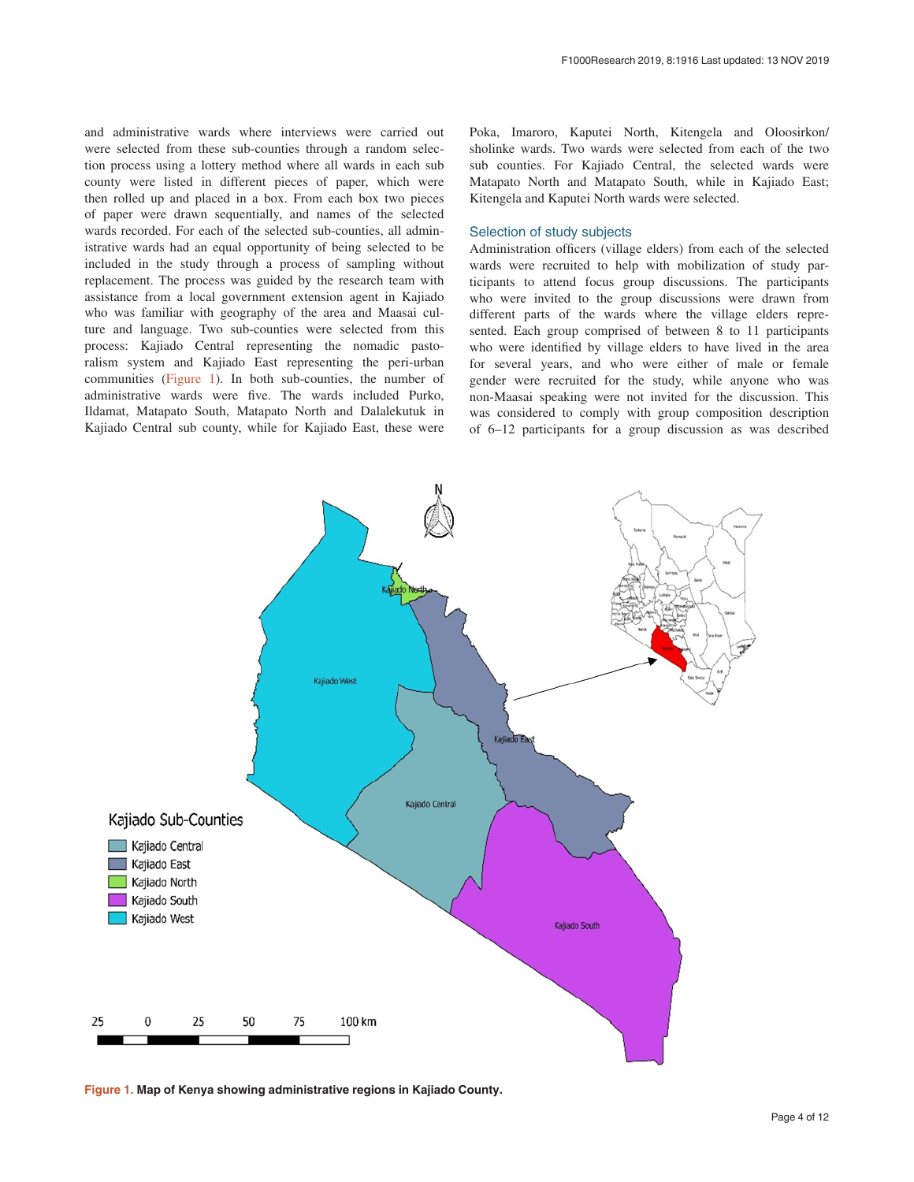and administrative wards where interviews were carried out were selected from these sub-counties through a random selection process using a lottery method where all wards in each sub county were listed in different pieces of paper, which were then rolled up and placed in a box. From each box two pieces of paper were drawn sequentially, and names of the selected wards recorded. For each of the selected sub-counties, all administrative wards had an equal opportunity of being selected to be included in the study through a process of sampling without replacement. The process was guided by the research team with assistance from a local government extension agent in Kajiado who was familiar with geography of the area and Maasai culture and language. Two sub-counties were selected from this process: Kajiado Central representing the nomadic pastoralism system and Kajiado East representing the peri-urban communities (Figure 1). In both sub-counties, the number of administrative wards were five. The wards included Purko, Ildamat, Matapato South, Matapato North and Dalalekutuk in Kajiado Central sub county, while for Kajiado East, these were Poka, Imaroro, Kaputei North, Kitengela and Oloosirkon/ sholinke wards. Two wards were selected from each of the two sub counties. For Kajiado Central, the selected wards were Matapato North and Matapato South, while in Kajiado East; Kitengela and Kaputei North wards were selected.

#### Selection of study subjects

Administration officers (village elders) from each of the selected wards were recruited to help with mobilization of study participants to attend focus group discussions. The participants who were invited to the group discussions were drawn from different parts of the wards where the village elders represented. Each group comprised of between 8 to 11 participants who were identified by village elders to have lived in the area for several years, and who were either of male or female gender were recruited for the study, while anyone who was non-Maasai speaking were not invited for the discussion. This was considered to comply with group composition description of 6–12 participants for a group discussion as was described



**Figure 1. Map of Kenya showing administrative regions in Kajiado County.**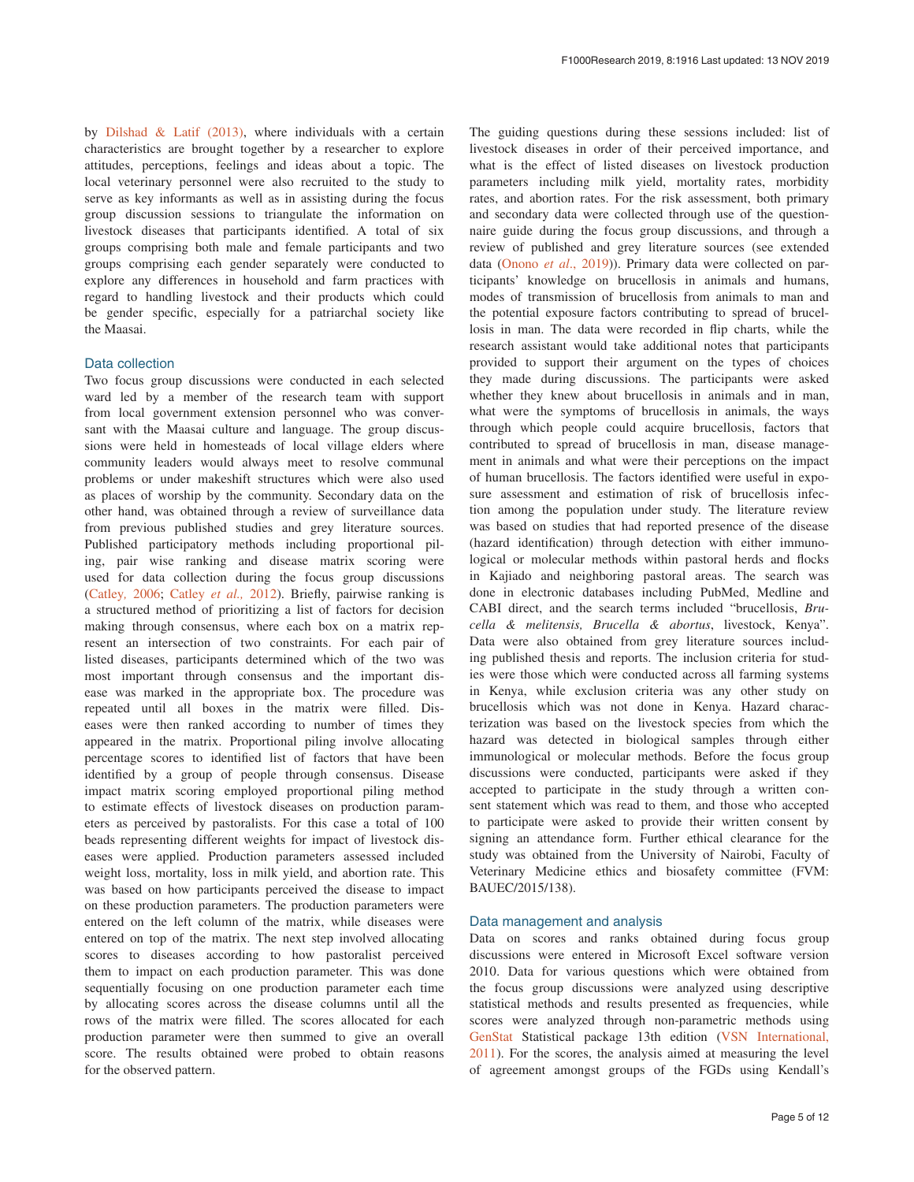by [Dilshad & Latif \(2013\)](#page-11-0), where individuals with a certain characteristics are brought together by a researcher to explore attitudes, perceptions, feelings and ideas about a topic. The local veterinary personnel were also recruited to the study to serve as key informants as well as in assisting during the focus group discussion sessions to triangulate the information on livestock diseases that participants identified. A total of six groups comprising both male and female participants and two groups comprising each gender separately were conducted to explore any differences in household and farm practices with regard to handling livestock and their products which could be gender specific, especially for a patriarchal society like the Maasai.

#### Data collection

Two focus group discussions were conducted in each selected ward led by a member of the research team with support from local government extension personnel who was conversant with the Maasai culture and language. The group discussions were held in homesteads of local village elders where community leaders would always meet to resolve communal problems or under makeshift structures which were also used as places of worship by the community. Secondary data on the other hand, was obtained through a review of surveillance data from previous published studies and grey literature sources. Published participatory methods including proportional piling, pair wise ranking and disease matrix scoring were used for data collection during the focus group discussions ([Catley](#page-10-0)*,* 2006; [Catley](#page-10-0) *et al.,* 2012). Briefly, pairwise ranking is a structured method of prioritizing a list of factors for decision making through consensus, where each box on a matrix represent an intersection of two constraints. For each pair of listed diseases, participants determined which of the two was most important through consensus and the important disease was marked in the appropriate box. The procedure was repeated until all boxes in the matrix were filled. Diseases were then ranked according to number of times they appeared in the matrix. Proportional piling involve allocating percentage scores to identified list of factors that have been identified by a group of people through consensus. Disease impact matrix scoring employed proportional piling method to estimate effects of livestock diseases on production parameters as perceived by pastoralists. For this case a total of 100 beads representing different weights for impact of livestock diseases were applied. Production parameters assessed included weight loss, mortality, loss in milk yield, and abortion rate. This was based on how participants perceived the disease to impact on these production parameters. The production parameters were entered on the left column of the matrix, while diseases were entered on top of the matrix. The next step involved allocating scores to diseases according to how pastoralist perceived them to impact on each production parameter. This was done sequentially focusing on one production parameter each time by allocating scores across the disease columns until all the rows of the matrix were filled. The scores allocated for each production parameter were then summed to give an overall score. The results obtained were probed to obtain reasons for the observed pattern.

The guiding questions during these sessions included: list of livestock diseases in order of their perceived importance, and what is the effect of listed diseases on livestock production parameters including milk yield, mortality rates, morbidity rates, and abortion rates. For the risk assessment, both primary and secondary data were collected through use of the questionnaire guide during the focus group discussions, and through a review of published and grey literature sources (see extended data [\(Onono](#page-11-0) *et al*., 2019)). Primary data were collected on participants' knowledge on brucellosis in animals and humans, modes of transmission of brucellosis from animals to man and the potential exposure factors contributing to spread of brucellosis in man. The data were recorded in flip charts, while the research assistant would take additional notes that participants provided to support their argument on the types of choices they made during discussions. The participants were asked whether they knew about brucellosis in animals and in man, what were the symptoms of brucellosis in animals, the ways through which people could acquire brucellosis, factors that contributed to spread of brucellosis in man, disease management in animals and what were their perceptions on the impact of human brucellosis. The factors identified were useful in exposure assessment and estimation of risk of brucellosis infection among the population under study. The literature review was based on studies that had reported presence of the disease (hazard identification) through detection with either immunological or molecular methods within pastoral herds and flocks in Kajiado and neighboring pastoral areas. The search was done in electronic databases including PubMed, Medline and CABI direct, and the search terms included "brucellosis, *Brucella & melitensis, Brucella & abortus*, livestock, Kenya". Data were also obtained from grey literature sources including published thesis and reports. The inclusion criteria for studies were those which were conducted across all farming systems in Kenya, while exclusion criteria was any other study on brucellosis which was not done in Kenya. Hazard characterization was based on the livestock species from which the hazard was detected in biological samples through either immunological or molecular methods. Before the focus group discussions were conducted, participants were asked if they accepted to participate in the study through a written consent statement which was read to them, and those who accepted to participate were asked to provide their written consent by signing an attendance form. Further ethical clearance for the study was obtained from the University of Nairobi, Faculty of Veterinary Medicine ethics and biosafety committee (FVM: BAUEC/2015/138).

#### Data management and analysis

Data on scores and ranks obtained during focus group discussions were entered in Microsoft Excel software version 2010. Data for various questions which were obtained from the focus group discussions were analyzed using descriptive statistical methods and results presented as frequencies, while scores were analyzed through non-parametric methods using [GenStat](https://www.vsni.co.uk/software/genstat/) Statistical package 13th edition (VSN [International,](#page-11-0)  [2011\)](#page-11-0). For the scores, the analysis aimed at measuring the level of agreement amongst groups of the FGDs using Kendall's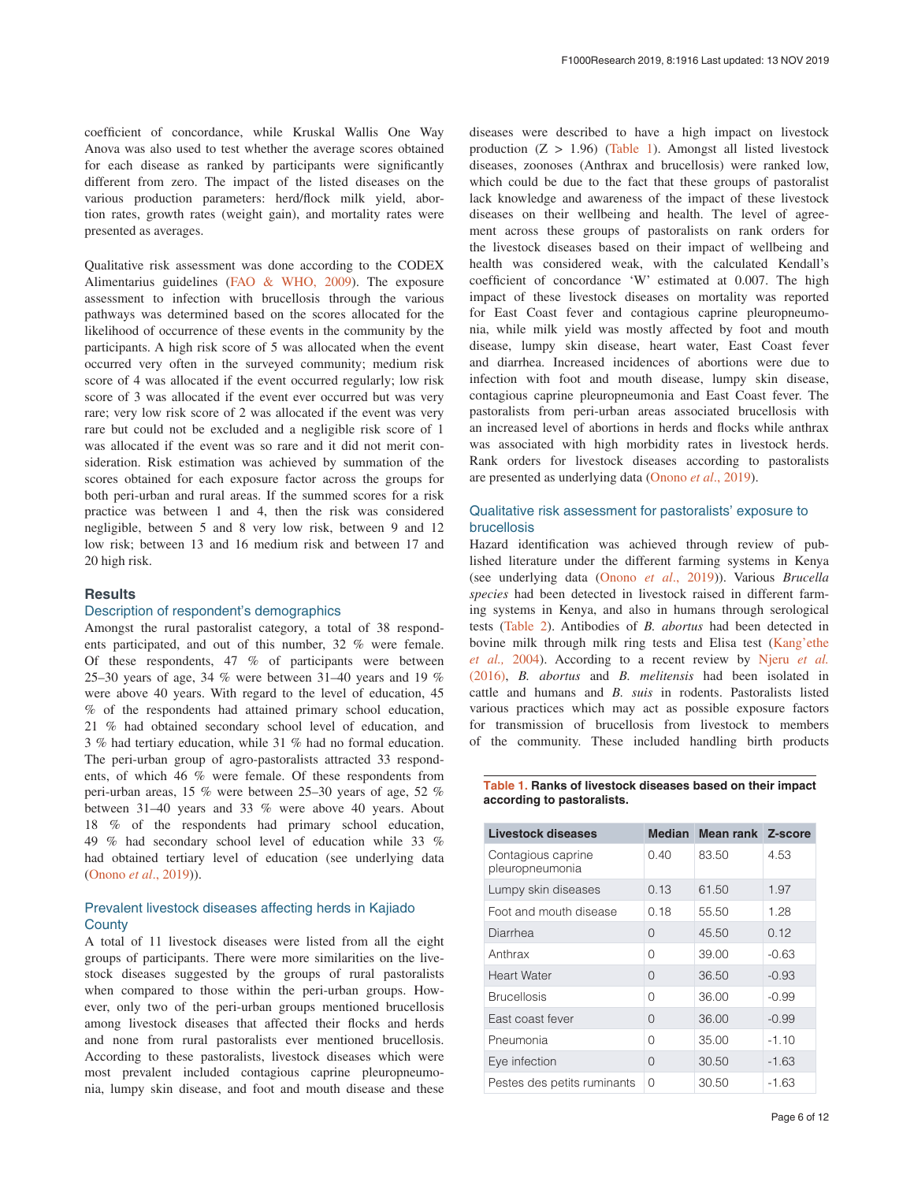coefficient of concordance, while Kruskal Wallis One Way Anova was also used to test whether the average scores obtained for each disease as ranked by participants were significantly different from zero. The impact of the listed diseases on the various production parameters: herd/flock milk yield, abortion rates, growth rates (weight gain), and mortality rates were presented as averages.

Qualitative risk assessment was done according to the CODEX Alimentarius guidelines [\(FAO & WHO, 2009\)](#page-11-0). The exposure assessment to infection with brucellosis through the various pathways was determined based on the scores allocated for the likelihood of occurrence of these events in the community by the participants. A high risk score of 5 was allocated when the event occurred very often in the surveyed community; medium risk score of 4 was allocated if the event occurred regularly; low risk score of 3 was allocated if the event ever occurred but was very rare; very low risk score of 2 was allocated if the event was very rare but could not be excluded and a negligible risk score of 1 was allocated if the event was so rare and it did not merit consideration. Risk estimation was achieved by summation of the scores obtained for each exposure factor across the groups for both peri-urban and rural areas. If the summed scores for a risk practice was between 1 and 4, then the risk was considered negligible, between 5 and 8 very low risk, between 9 and 12 low risk; between 13 and 16 medium risk and between 17 and 20 high risk.

#### **Results**

#### Description of respondent's demographics

Amongst the rural pastoralist category, a total of 38 respondents participated, and out of this number, 32 % were female. Of these respondents, 47 % of participants were between 25–30 years of age, 34 % were between 31–40 years and 19 % were above 40 years. With regard to the level of education, 45 % of the respondents had attained primary school education, 21 % had obtained secondary school level of education, and 3 % had tertiary education, while 31 % had no formal education. The peri-urban group of agro-pastoralists attracted 33 respondents, of which 46 % were female. Of these respondents from peri-urban areas, 15 % were between 25–30 years of age, 52 % between 31–40 years and 33 % were above 40 years. About 18 % of the respondents had primary school education, 49 % had secondary school level of education while 33 % had obtained tertiary level of education (see underlying data ([Onono](#page-11-0) *et al*., 2019)).

#### Prevalent livestock diseases affecting herds in Kajiado **County**

A total of 11 livestock diseases were listed from all the eight groups of participants. There were more similarities on the livestock diseases suggested by the groups of rural pastoralists when compared to those within the peri-urban groups. However, only two of the peri-urban groups mentioned brucellosis among livestock diseases that affected their flocks and herds and none from rural pastoralists ever mentioned brucellosis. According to these pastoralists, livestock diseases which were most prevalent included contagious caprine pleuropneumonia, lumpy skin disease, and foot and mouth disease and these

diseases were described to have a high impact on livestock production  $(Z > 1.96)$  (Table 1). Amongst all listed livestock diseases, zoonoses (Anthrax and brucellosis) were ranked low, which could be due to the fact that these groups of pastoralist lack knowledge and awareness of the impact of these livestock diseases on their wellbeing and health. The level of agreement across these groups of pastoralists on rank orders for the livestock diseases based on their impact of wellbeing and health was considered weak, with the calculated Kendall's coefficient of concordance 'W' estimated at 0.007. The high impact of these livestock diseases on mortality was reported for East Coast fever and contagious caprine pleuropneumonia, while milk yield was mostly affected by foot and mouth disease, lumpy skin disease, heart water, East Coast fever and diarrhea. Increased incidences of abortions were due to infection with foot and mouth disease, lumpy skin disease, contagious caprine pleuropneumonia and East Coast fever. The pastoralists from peri-urban areas associated brucellosis with an increased level of abortions in herds and flocks while anthrax was associated with high morbidity rates in livestock herds. Rank orders for livestock diseases according to pastoralists are presented as underlying data ([Onono](#page-11-0) *et al*., 2019).

#### Qualitative risk assessment for pastoralists' exposure to brucellosis

Hazard identification was achieved through review of published literature under the different farming systems in Kenya (see underlying data (Onono *et al*[., 2019\)](#page-11-0)). Various *Brucella species* had been detected in livestock raised in different farming systems in Kenya, and also in humans through serological tests [\(Table 2\)](#page-7-0). Antibodies of *B. abortus* had been detected in bovine milk through milk ring tests and Elisa test [\(Kang'ethe](#page-11-0)  *et al.,* [2004\)](#page-11-0). According to a recent review by [Njeru](#page-11-0) *et al.* [\(2016\),](#page-11-0) *B. abortus* and *B. melitensis* had been isolated in cattle and humans and *B. suis* in rodents. Pastoralists listed various practices which may act as possible exposure factors for transmission of brucellosis from livestock to members of the community. These included handling birth products

#### **Table 1. Ranks of livestock diseases based on their impact according to pastoralists.**

| Livestock diseases                    | <b>Median</b> | Mean rank Z-score |         |
|---------------------------------------|---------------|-------------------|---------|
| Contagious caprine<br>pleuropneumonia | 0.40          | 83.50             | 4.53    |
| Lumpy skin diseases                   | 0.13          | 61.50             | 1.97    |
| Foot and mouth disease                | 0.18          | 55.50             | 1.28    |
| Diarrhea                              | 0             | 45.50             | 0.12    |
| Anthrax                               | Ω             | 39.00             | $-0.63$ |
| <b>Heart Water</b>                    | O             | 36.50             | $-0.93$ |
| <b>Brucellosis</b>                    | O             | 36.00             | $-0.99$ |
| East coast fever                      | O             | 36.00             | $-0.99$ |
| Pneumonia                             | O             | 35.00             | $-1.10$ |
| Eye infection                         | 0             | 30.50             | $-1.63$ |
| Pestes des petits ruminants           | O             | 30.50             | $-1.63$ |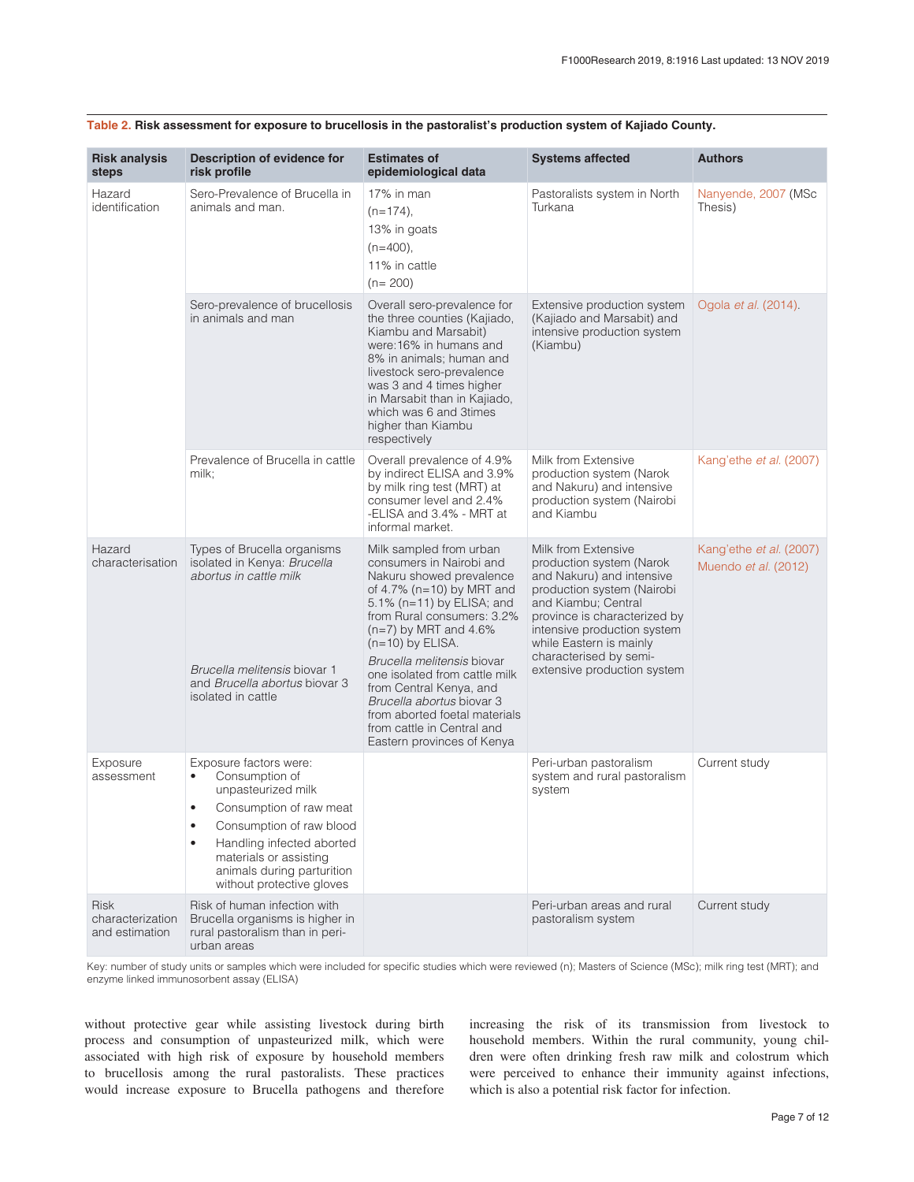| <b>Risk analysis</b><br>steps                     | Description of evidence for<br>risk profile                                                                                                                                                                                                                       | <b>Estimates of</b><br>epidemiological data                                                                                                                                                                                                                                                                                                                                                                                                  | <b>Systems affected</b>                                                                                                                                                                                                                                                              | <b>Authors</b>                                  |
|---------------------------------------------------|-------------------------------------------------------------------------------------------------------------------------------------------------------------------------------------------------------------------------------------------------------------------|----------------------------------------------------------------------------------------------------------------------------------------------------------------------------------------------------------------------------------------------------------------------------------------------------------------------------------------------------------------------------------------------------------------------------------------------|--------------------------------------------------------------------------------------------------------------------------------------------------------------------------------------------------------------------------------------------------------------------------------------|-------------------------------------------------|
| Hazard<br>identification                          | Sero-Prevalence of Brucella in<br>animals and man.                                                                                                                                                                                                                | 17% in man<br>$(n=174)$ ,<br>13% in goats<br>(n=400),<br>11% in cattle<br>$(n=200)$                                                                                                                                                                                                                                                                                                                                                          | Pastoralists system in North<br>Turkana                                                                                                                                                                                                                                              | Nanyende, 2007 (MSc<br>Thesis)                  |
|                                                   | Sero-prevalence of brucellosis<br>in animals and man                                                                                                                                                                                                              | Overall sero-prevalence for<br>the three counties (Kajiado,<br>Kiambu and Marsabit)<br>were: 16% in humans and<br>8% in animals; human and<br>livestock sero-prevalence<br>was 3 and 4 times higher<br>in Marsabit than in Kajiado,<br>which was 6 and 3 times<br>higher than Kiambu<br>respectively                                                                                                                                         | Extensive production system<br>(Kajiado and Marsabit) and<br>intensive production system<br>(Kiambu)                                                                                                                                                                                 | Ogola et al. (2014).                            |
|                                                   | Prevalence of Brucella in cattle<br>milk;                                                                                                                                                                                                                         | Overall prevalence of 4.9%<br>by indirect ELISA and 3.9%<br>by milk ring test (MRT) at<br>consumer level and 2.4%<br>-ELISA and 3.4% - MRT at<br>informal market.                                                                                                                                                                                                                                                                            | Milk from Extensive<br>production system (Narok<br>and Nakuru) and intensive<br>production system (Nairobi<br>and Kiambu                                                                                                                                                             | Kang'ethe et al. (2007)                         |
| Hazard<br>characterisation                        | Types of Brucella organisms<br>isolated in Kenya: Brucella<br>abortus in cattle milk<br>Brucella melitensis biovar 1<br>and Brucella abortus biovar 3<br>isolated in cattle                                                                                       | Milk sampled from urban<br>consumers in Nairobi and<br>Nakuru showed prevalence<br>of 4.7% (n=10) by MRT and<br>5.1% (n=11) by ELISA; and<br>from Rural consumers: 3.2%<br>$(n=7)$ by MRT and 4.6%<br>$(n=10)$ by ELISA.<br>Brucella melitensis biovar<br>one isolated from cattle milk<br>from Central Kenya, and<br>Brucella abortus biovar 3<br>from aborted foetal materials<br>from cattle in Central and<br>Eastern provinces of Kenya | Milk from Extensive<br>production system (Narok<br>and Nakuru) and intensive<br>production system (Nairobi<br>and Kiambu; Central<br>province is characterized by<br>intensive production system<br>while Eastern is mainly<br>characterised by semi-<br>extensive production system | Kang'ethe et al. (2007)<br>Muendo et al. (2012) |
| Exposure<br>assessment                            | Exposure factors were:<br>Consumption of<br>$\bullet$<br>unpasteurized milk<br>Consumption of raw meat<br>$\bullet$<br>Consumption of raw blood<br>Handling infected aborted<br>materials or assisting<br>animals during parturition<br>without protective gloves |                                                                                                                                                                                                                                                                                                                                                                                                                                              | Peri-urban pastoralism<br>system and rural pastoralism<br>system                                                                                                                                                                                                                     | Current study                                   |
| <b>Risk</b><br>characterization<br>and estimation | Risk of human infection with<br>Brucella organisms is higher in<br>rural pastoralism than in peri-<br>urban areas                                                                                                                                                 |                                                                                                                                                                                                                                                                                                                                                                                                                                              | Peri-urban areas and rural<br>pastoralism system                                                                                                                                                                                                                                     | Current study                                   |

#### <span id="page-7-0"></span>**Table 2. Risk assessment for exposure to brucellosis in the pastoralist's production system of Kajiado County.**

Key: number of study units or samples which were included for specific studies which were reviewed (n); Masters of Science (MSc); milk ring test (MRT); and enzyme linked immunosorbent assay (ELISA)

without protective gear while assisting livestock during birth process and consumption of unpasteurized milk, which were associated with high risk of exposure by household members to brucellosis among the rural pastoralists. These practices would increase exposure to Brucella pathogens and therefore increasing the risk of its transmission from livestock to household members. Within the rural community, young children were often drinking fresh raw milk and colostrum which were perceived to enhance their immunity against infections, which is also a potential risk factor for infection.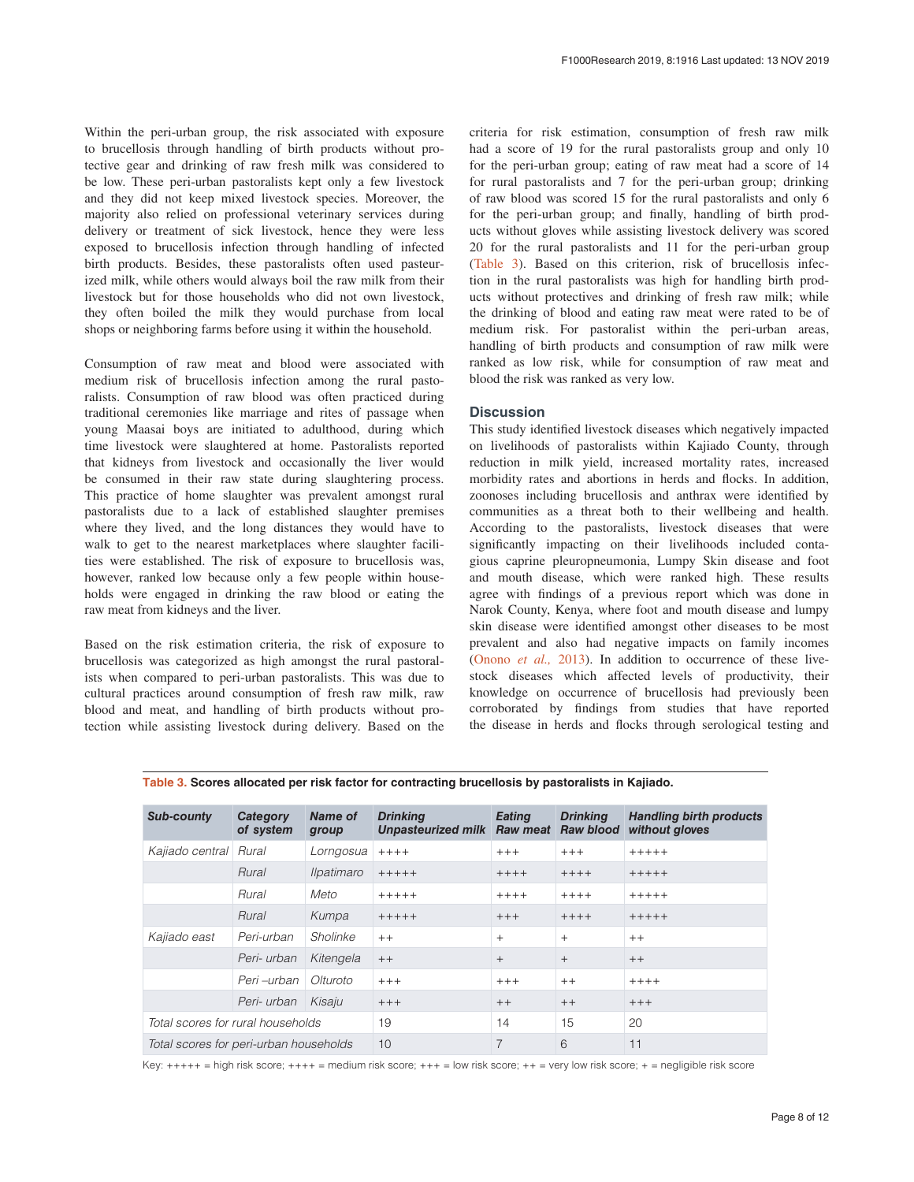Within the peri-urban group, the risk associated with exposure to brucellosis through handling of birth products without protective gear and drinking of raw fresh milk was considered to be low. These peri-urban pastoralists kept only a few livestock and they did not keep mixed livestock species. Moreover, the majority also relied on professional veterinary services during delivery or treatment of sick livestock, hence they were less exposed to brucellosis infection through handling of infected birth products. Besides, these pastoralists often used pasteurized milk, while others would always boil the raw milk from their livestock but for those households who did not own livestock, they often boiled the milk they would purchase from local shops or neighboring farms before using it within the household.

Consumption of raw meat and blood were associated with medium risk of brucellosis infection among the rural pastoralists. Consumption of raw blood was often practiced during traditional ceremonies like marriage and rites of passage when young Maasai boys are initiated to adulthood, during which time livestock were slaughtered at home. Pastoralists reported that kidneys from livestock and occasionally the liver would be consumed in their raw state during slaughtering process. This practice of home slaughter was prevalent amongst rural pastoralists due to a lack of established slaughter premises where they lived, and the long distances they would have to walk to get to the nearest marketplaces where slaughter facilities were established. The risk of exposure to brucellosis was, however, ranked low because only a few people within households were engaged in drinking the raw blood or eating the raw meat from kidneys and the liver.

Based on the risk estimation criteria, the risk of exposure to brucellosis was categorized as high amongst the rural pastoralists when compared to peri-urban pastoralists. This was due to cultural practices around consumption of fresh raw milk, raw blood and meat, and handling of birth products without protection while assisting livestock during delivery. Based on the criteria for risk estimation, consumption of fresh raw milk had a score of 19 for the rural pastoralists group and only 10 for the peri-urban group; eating of raw meat had a score of 14 for rural pastoralists and 7 for the peri-urban group; drinking of raw blood was scored 15 for the rural pastoralists and only 6 for the peri-urban group; and finally, handling of birth products without gloves while assisting livestock delivery was scored 20 for the rural pastoralists and 11 for the peri-urban group (Table 3). Based on this criterion, risk of brucellosis infection in the rural pastoralists was high for handling birth products without protectives and drinking of fresh raw milk; while the drinking of blood and eating raw meat were rated to be of medium risk. For pastoralist within the peri-urban areas, handling of birth products and consumption of raw milk were ranked as low risk, while for consumption of raw meat and blood the risk was ranked as very low.

#### **Discussion**

This study identified livestock diseases which negatively impacted on livelihoods of pastoralists within Kajiado County, through reduction in milk yield, increased mortality rates, increased morbidity rates and abortions in herds and flocks. In addition, zoonoses including brucellosis and anthrax were identified by communities as a threat both to their wellbeing and health. According to the pastoralists, livestock diseases that were significantly impacting on their livelihoods included contagious caprine pleuropneumonia, Lumpy Skin disease and foot and mouth disease, which were ranked high. These results agree with findings of a previous report which was done in Narok County, Kenya, where foot and mouth disease and lumpy skin disease were identified amongst other diseases to be most prevalent and also had negative impacts on family incomes ([Onono](#page-11-0) *et al.,* 2013). In addition to occurrence of these livestock diseases which affected levels of productivity, their knowledge on occurrence of brucellosis had previously been corroborated by findings from studies that have reported the disease in herds and flocks through serological testing and

| Sub-county                             | Category<br>of system | <b>Name of</b><br>group | <b>Drinking</b><br><b>Unpasteurized milk Raw meat</b> | Eating  | <b>Drinking</b><br><b>Raw blood</b> | <b>Handling birth products</b><br>without gloves |
|----------------------------------------|-----------------------|-------------------------|-------------------------------------------------------|---------|-------------------------------------|--------------------------------------------------|
| Kajiado central Rural                  |                       | Lorngosua               | $+++++$                                               | $+++$   | $+++$                               | $+++++$                                          |
|                                        | Rural                 | Ilpatimaro              | $+++++$                                               | $+++++$ | $++++$                              | $+++++$                                          |
|                                        | Rural                 | Meto                    | $+++++$                                               | $+++++$ | $+++++$                             | $+++++$                                          |
|                                        | Rural                 | Kumpa                   | $+++++$                                               | $+++$   | $+++++$                             | $+++++$                                          |
| Kajiado east                           | Peri-urban            | Sholinke                | $++$                                                  | $+$     | $+$                                 | $++$                                             |
|                                        | Peri- urban           | Kitengela               | $++$                                                  | $+$     | $+$                                 | $++$                                             |
|                                        | Peri-urban            | Olturoto                | $+++$                                                 | $+++$   | $++$                                | $+++++$                                          |
|                                        | Peri- urban           | Kisaju                  | $+++$                                                 | $++$    | $++$                                | $+++$                                            |
| Total scores for rural households      |                       |                         | 19                                                    | 14      | 15                                  | 20                                               |
| Total scores for peri-urban households |                       |                         | 10 <sup>1</sup>                                       | 7       | 6                                   | 11                                               |

**Table 3. Scores allocated per risk factor for contracting brucellosis by pastoralists in Kajiado.**

Key: +++++ = high risk score; ++++ = medium risk score; +++ = low risk score; ++ = very low risk score; + = negligible risk score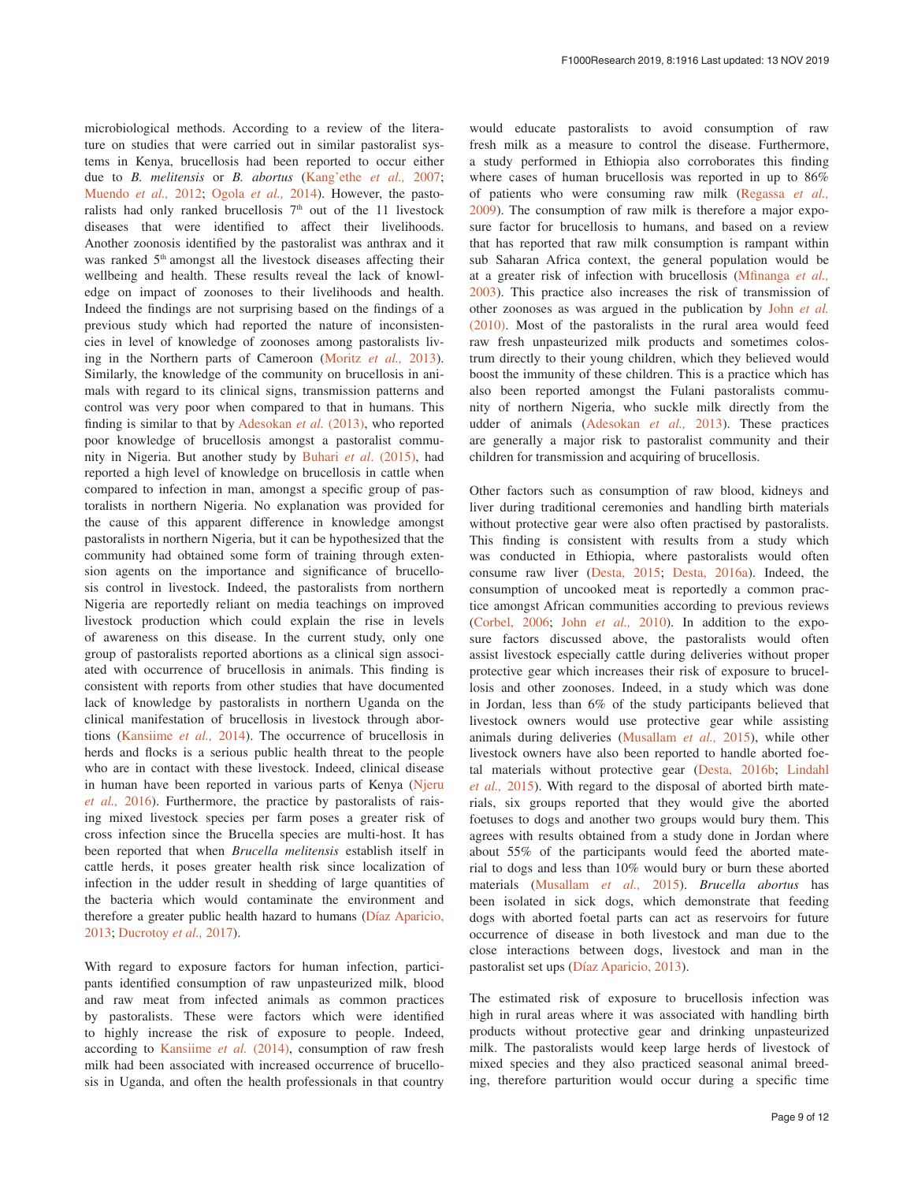microbiological methods. According to a review of the literature on studies that were carried out in similar pastoralist systems in Kenya, brucellosis had been reported to occur either due to *B. melitensis* or *B. abortus* [\(Kang'ethe](#page-11-0) *et al.,* 2007; [Muendo](#page-11-0) *et al.,* 2012; [Ogola](#page-11-0) *et al.,* 2014). However, the pastoralists had only ranked brucellosis  $7<sup>th</sup>$  out of the 11 livestock diseases that were identified to affect their livelihoods. Another zoonosis identified by the pastoralist was anthrax and it was ranked 5<sup>th</sup> amongst all the livestock diseases affecting their wellbeing and health. These results reveal the lack of knowledge on impact of zoonoses to their livelihoods and health. Indeed the findings are not surprising based on the findings of a previous study which had reported the nature of inconsistencies in level of knowledge of zoonoses among pastoralists living in the Northern parts of Cameroon ([Moritz](#page-11-0) *et al.,* 2013). Similarly, the knowledge of the community on brucellosis in animals with regard to its clinical signs, transmission patterns and control was very poor when compared to that in humans. This finding is similar to that by [Adesokan](#page-10-0) *et al.* (2013), who reported poor knowledge of brucellosis amongst a pastoralist community in Nigeria. But another study by Buhari *et al*[. \(2015\),](#page-10-0) had reported a high level of knowledge on brucellosis in cattle when compared to infection in man, amongst a specific group of pastoralists in northern Nigeria. No explanation was provided for the cause of this apparent difference in knowledge amongst pastoralists in northern Nigeria, but it can be hypothesized that the community had obtained some form of training through extension agents on the importance and significance of brucellosis control in livestock. Indeed, the pastoralists from northern Nigeria are reportedly reliant on media teachings on improved livestock production which could explain the rise in levels of awareness on this disease. In the current study, only one group of pastoralists reported abortions as a clinical sign associated with occurrence of brucellosis in animals. This finding is consistent with reports from other studies that have documented lack of knowledge by pastoralists in northern Uganda on the clinical manifestation of brucellosis in livestock through abortions [\(Kansiime](#page-11-0) *et al.,* 2014). The occurrence of brucellosis in herds and flocks is a serious public health threat to the people who are in contact with these livestock. Indeed, clinical disease in human have been reported in various parts of Kenya [\(Njeru](#page-11-0)  *et al.,* [2016\)](#page-11-0). Furthermore, the practice by pastoralists of raising mixed livestock species per farm poses a greater risk of cross infection since the Brucella species are multi-host. It has been reported that when *Brucella melitensis* establish itself in cattle herds, it poses greater health risk since localization of infection in the udder result in shedding of large quantities of the bacteria which would contaminate the environment and therefore a greater public health hazard to humans [\(Díaz Aparicio,](#page-11-0)  [2013; Ducrotoy](#page-11-0) *et al.,* 2017).

With regard to exposure factors for human infection, participants identified consumption of raw unpasteurized milk, blood and raw meat from infected animals as common practices by pastoralists. These were factors which were identified to highly increase the risk of exposure to people. Indeed, according to [Kansiime](#page-11-0) *et al.* (2014), consumption of raw fresh milk had been associated with increased occurrence of brucellosis in Uganda, and often the health professionals in that country

would educate pastoralists to avoid consumption of raw fresh milk as a measure to control the disease. Furthermore, a study performed in Ethiopia also corroborates this finding where cases of human brucellosis was reported in up to 86% of patients who were consuming raw milk ([Regassa](#page-11-0) *et al.,* [2009\)](#page-11-0). The consumption of raw milk is therefore a major exposure factor for brucellosis to humans, and based on a review that has reported that raw milk consumption is rampant within sub Saharan Africa context, the general population would be at a greater risk of infection with brucellosis ([Mfinanga](#page-11-0) *et al.,* [2003\)](#page-11-0). This practice also increases the risk of transmission of other zoonoses as was argued in the publication by John *[et al.](#page-11-0)* [\(2010\).](#page-11-0) Most of the pastoralists in the rural area would feed raw fresh unpasteurized milk products and sometimes colostrum directly to their young children, which they believed would boost the immunity of these children. This is a practice which has also been reported amongst the Fulani pastoralists community of northern Nigeria, who suckle milk directly from the udder of animals ([Adesokan](#page-10-0) *et al.,* 2013). These practices are generally a major risk to pastoralist community and their children for transmission and acquiring of brucellosis.

Other factors such as consumption of raw blood, kidneys and liver during traditional ceremonies and handling birth materials without protective gear were also often practised by pastoralists. This finding is consistent with results from a study which was conducted in Ethiopia, where pastoralists would often consume raw liver [\(Desta, 2015;](#page-11-0) [Desta, 2016a](#page-11-0)). Indeed, the consumption of uncooked meat is reportedly a common practice amongst African communities according to previous reviews ([Corbel, 2006](#page-11-0); John *[et al.,](#page-11-0)* 2010). In addition to the exposure factors discussed above, the pastoralists would often assist livestock especially cattle during deliveries without proper protective gear which increases their risk of exposure to brucellosis and other zoonoses. Indeed, in a study which was done in Jordan, less than 6% of the study participants believed that livestock owners would use protective gear while assisting animals during deliveries [\(Musallam](#page-11-0) *et al.,* 2015), while other livestock owners have also been reported to handle aborted foetal materials without protective gear ([Desta, 2016b](#page-11-0); [Lindahl](#page-11-0) *et al.,* [2015\)](#page-11-0). With regard to the disposal of aborted birth materials, six groups reported that they would give the aborted foetuses to dogs and another two groups would bury them. This agrees with results obtained from a study done in Jordan where about 55% of the participants would feed the aborted material to dogs and less than 10% would bury or burn these aborted materials ([Musallam](#page-11-0) *et al.,* 2015). *Brucella abortus* has been isolated in sick dogs, which demonstrate that feeding dogs with aborted foetal parts can act as reservoirs for future occurrence of disease in both livestock and man due to the close interactions between dogs, livestock and man in the pastoralist set ups ([Díaz Aparicio, 2013\)](#page-11-0).

The estimated risk of exposure to brucellosis infection was high in rural areas where it was associated with handling birth products without protective gear and drinking unpasteurized milk. The pastoralists would keep large herds of livestock of mixed species and they also practiced seasonal animal breeding, therefore parturition would occur during a specific time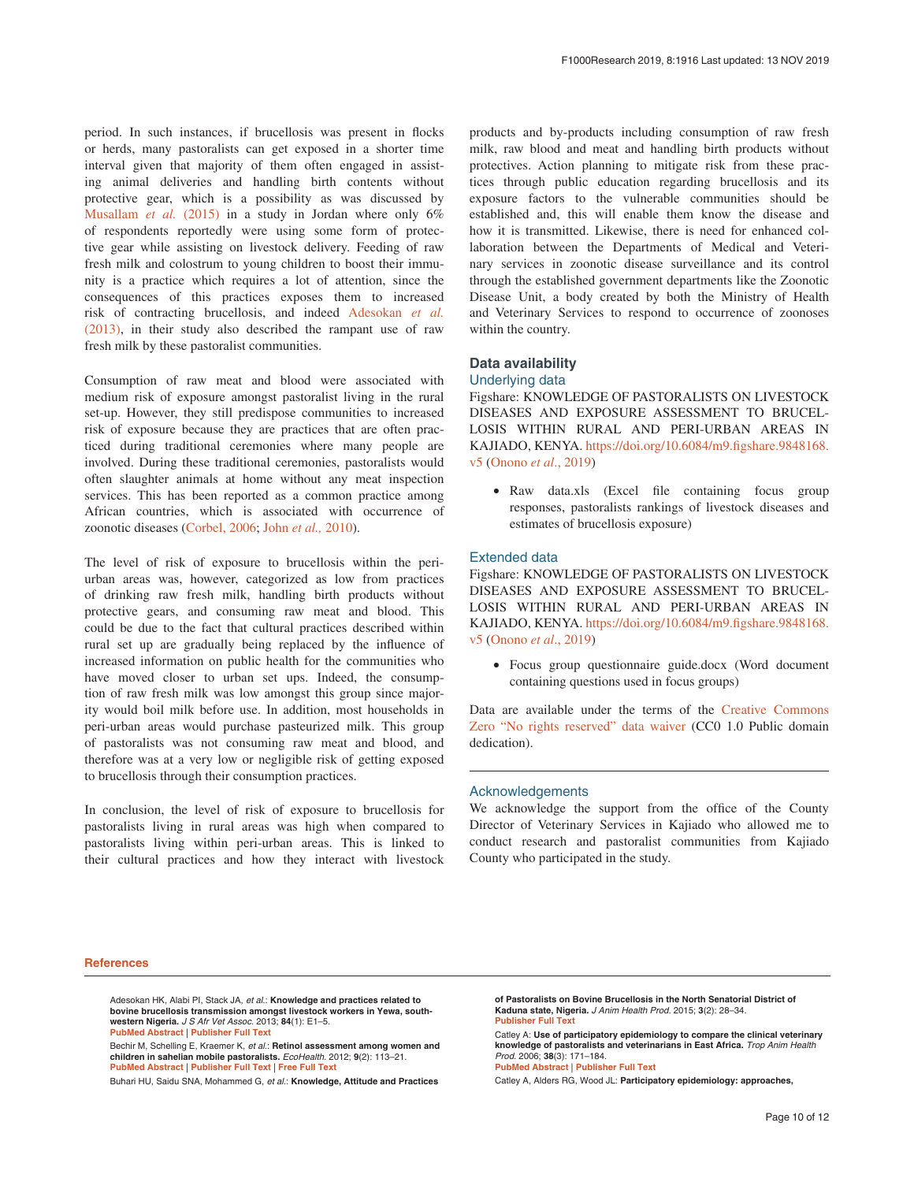<span id="page-10-0"></span>period. In such instances, if brucellosis was present in flocks or herds, many pastoralists can get exposed in a shorter time interval given that majority of them often engaged in assisting animal deliveries and handling birth contents without protective gear, which is a possibility as was discussed by [Musallam](#page-11-0) *et al.* (2015) in a study in Jordan where only 6% of respondents reportedly were using some form of protective gear while assisting on livestock delivery. Feeding of raw fresh milk and colostrum to young children to boost their immunity is a practice which requires a lot of attention, since the consequences of this practices exposes them to increased risk of contracting brucellosis, and indeed Adesokan *et al.* (2013), in their study also described the rampant use of raw fresh milk by these pastoralist communities.

Consumption of raw meat and blood were associated with medium risk of exposure amongst pastoralist living in the rural set-up. However, they still predispose communities to increased risk of exposure because they are practices that are often practiced during traditional ceremonies where many people are involved. During these traditional ceremonies, pastoralists would often slaughter animals at home without any meat inspection services. This has been reported as a common practice among African countries, which is associated with occurrence of zoonotic diseases ([Corbel, 2006;](#page-11-0) John *[et al.,](#page-11-0)* 2010).

The level of risk of exposure to brucellosis within the periurban areas was, however, categorized as low from practices of drinking raw fresh milk, handling birth products without protective gears, and consuming raw meat and blood. This could be due to the fact that cultural practices described within rural set up are gradually being replaced by the influence of increased information on public health for the communities who have moved closer to urban set ups. Indeed, the consumption of raw fresh milk was low amongst this group since majority would boil milk before use. In addition, most households in peri-urban areas would purchase pasteurized milk. This group of pastoralists was not consuming raw meat and blood, and therefore was at a very low or negligible risk of getting exposed to brucellosis through their consumption practices.

In conclusion, the level of risk of exposure to brucellosis for pastoralists living in rural areas was high when compared to pastoralists living within peri-urban areas. This is linked to their cultural practices and how they interact with livestock

products and by-products including consumption of raw fresh milk, raw blood and meat and handling birth products without protectives. Action planning to mitigate risk from these practices through public education regarding brucellosis and its exposure factors to the vulnerable communities should be established and, this will enable them know the disease and how it is transmitted. Likewise, there is need for enhanced collaboration between the Departments of Medical and Veterinary services in zoonotic disease surveillance and its control through the established government departments like the Zoonotic Disease Unit, a body created by both the Ministry of Health and Veterinary Services to respond to occurrence of zoonoses within the country.

### **Data availability**

#### Underlying data

Figshare: KNOWLEDGE OF PASTORALISTS ON LIVESTOCK DISEASES AND EXPOSURE ASSESSMENT TO BRUCEL-LOSIS WITHIN RURAL AND PERI-URBAN AREAS IN KAJIADO, KENYA. [https://doi.org/10.6084/m9.figshare.9848168.](https://doi.org/10.6084/m9.figshare.9848168.v5) [v5](https://doi.org/10.6084/m9.figshare.9848168.v5) ([Onono](#page-11-0) *et al*., 2019)

• Raw data.xls (Excel file containing focus group responses, pastoralists rankings of livestock diseases and estimates of brucellosis exposure)

#### Extended data

Figshare: KNOWLEDGE OF PASTORALISTS ON LIVESTOCK DISEASES AND EXPOSURE ASSESSMENT TO BRUCEL-LOSIS WITHIN RURAL AND PERI-URBAN AREAS IN KAJIADO, KENYA. [https://doi.org/10.6084/m9.figshare.9848168.](https://doi.org/10.6084/m9.figshare.9848168.v5) [v5](https://doi.org/10.6084/m9.figshare.9848168.v5) ([Onono](#page-11-0) *et al*., 2019)

• Focus group questionnaire guide.docx (Word document containing questions used in focus groups)

Data are available under the terms of the [Creative Commons](http://creativecommons.org/publicdomain/zero/1.0/)  [Zero "No rights reserved" data waiver](http://creativecommons.org/publicdomain/zero/1.0/) (CC0 1.0 Public domain dedication).

#### Acknowledgements

We acknowledge the support from the office of the County Director of Veterinary Services in Kajiado who allowed me to conduct research and pastoralist communities from Kajiado County who participated in the study.

#### **References**

Adesokan HK, Alabi PI, Stack JA, et al.: **Knowledge and practices related to bovine brucellosis transmission amongst livestock workers in Yewa, southwestern Nigeria.** J S Afr Vet Assoc. 2013; **84**(1): E1–5. **[PubMed Abstract](http://www.ncbi.nlm.nih.gov/pubmed/23718254)** | **[Publisher Full Text](http://dx.doi.org/10.4102/jsava.v84i1.121)**

Bechir M, Schelling E, Kraemer K, et al.: **Retinol assessment among women and children in sahelian mobile pastoralists.** EcoHealth. 2012; **9**(2): 113–21. **[PubMed Abstract](http://www.ncbi.nlm.nih.gov/pubmed/22825749)** | **[Publisher Full Text](http://dx.doi.org/10.1007/s10393-012-0781-7)** | **[Free Full Text](http://www.ncbi.nlm.nih.gov/pmc/articles/3415612)**

**[PubMed Abstract](http://www.ncbi.nlm.nih.gov/pubmed/16986765)** | **[Publisher Full Text](http://dx.doi.org/10.1007/s11250-006-4365-9)**

Catley A, Alders RG, Wood JL: **Participatory epidemiology: approaches,** 

Buhari HU, Saidu SNA, Mohammed G, et al.: **Knowledge, Attitude and Practices** 

**of Pastoralists on Bovine Brucellosis in the North Senatorial District of Kaduna state, Nigeria.** J Anim Health Prod. 2015; **3**(2): 28–34. **[Publisher Full Text](http://dx.doi.org/10.14737/journal.jahp/2015/3.2.28.34)**

Catley A: **Use of participatory epidemiology to compare the clinical veterinary knowledge of pastoralists and veterinarians in East Africa.** Trop Anim Health Prod. 2006; **38**(3): 171–184.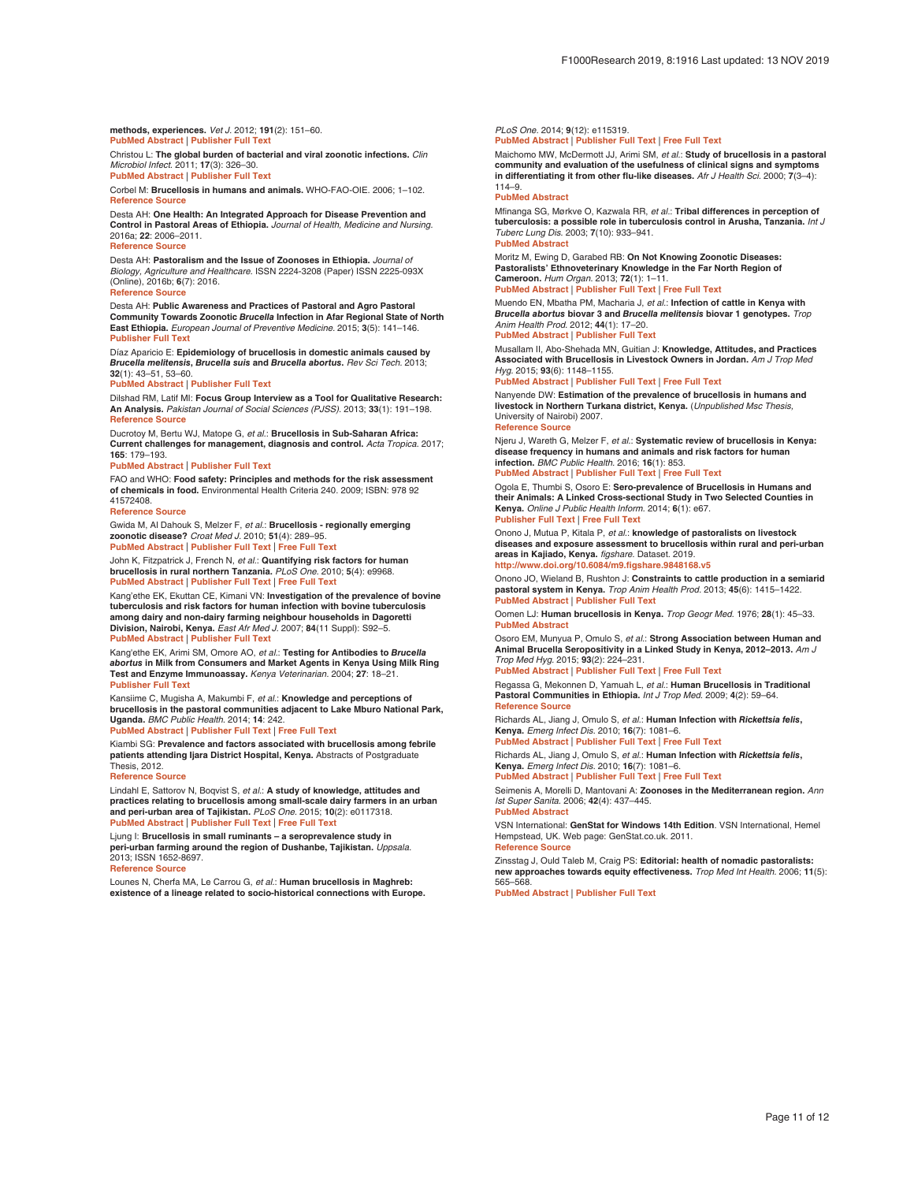#### <span id="page-11-0"></span>**methods, experiences.** Vet J. 2012; **191**(2): 151–60. **[PubMed Abstract](http://www.ncbi.nlm.nih.gov/pubmed/21856195)** | **[Publisher Full Text](http://dx.doi.org/10.1016/j.tvjl.2011.03.010)**

Christou L: **The global burden of bacterial and viral zoonotic infections.** Clin Microbiol Infect. 2011; **17**(3): 326–30.

**[PubMed Abstract](http://www.ncbi.nlm.nih.gov/pubmed/21129102)** | **[Publisher Full Text](http://dx.doi.org/10.1111/j.1469-0691.2010.03441.x)**

Corbel M: **Brucellosis in humans and animals.** WHO-FAO-OIE. 2006; 1–102. **[Reference Source](https://www.who.int/csr/resources/publications/Brucellosis.pdf)**

Desta AH: **One Health: An Integrated Approach for Disease Prevention and Control in Pastoral Areas of Ethiopia.** Journal of Health, Medicine and Nursing. 2016a; **22**: 2006–2011. **[Reference Source](https://iiste.org/Journals/index.php/JHMN/article/viewFile/28192/28938)**

Desta AH: **Pastoralism and the Issue of Zoonoses in Ethiopia.** Journal of Biology, Agriculture and Healthcare. ISSN 2224-3208 (Paper) ISSN 2225-093X (Online), 2016b; **6**(7): 2016. **[Reference Source](https://pdfs.semanticscholar.org/0169/cf8c44d14670d987fb0dce0dc1e49c658107.pdf)**

Desta AH: **Public Awareness and Practices of Pastoral and Agro Pastoral Community Towards Zoonotic** *Brucella* **Infection in Afar Regional State of North East Ethiopia.** European Journal of Preventive Medicine. 2015; **3**(5): 141–146. **[Publisher Full Text](http://dx.doi.org/10.11648/j.ejpm.20150305.13)** 

Díaz Aparicio E: **Epidemiology of brucellosis in domestic animals caused by**  *Brucella melitensis***,** *Brucella suis* **and** *Brucella abortus***.** Rev Sci Tech. 2013; **32**(1): 43–51, 53–60.

#### **[PubMed Abstract](http://www.ncbi.nlm.nih.gov/pubmed/23837364)** | **[Publisher Full Text](http://dx.doi.org/10.20506/rst.32.1.2187)**

Dilshad RM, Latif MI: **Focus Group Interview as a Tool for Qualitative Research: An Analysis.** Pakistan Journal of Social Sciences (PJSS). 2013; **33**(1): 191–198. **[Reference Source](https://pdfs.semanticscholar.org/e13a/0f7a5a455c31454df3d8d99e92097a10a947.pdf)**

Ducrotoy M, Bertu WJ, Matope G, et al.: **Brucellosis in Sub-Saharan Africa: Current challenges for management, diagnosis and control.** Acta Tropica. 2017; **165**: 179–193.

**[PubMed Abstract](http://www.ncbi.nlm.nih.gov/pubmed/26551794)** | **[Publisher Full Text](http://dx.doi.org/10.1016/j.actatropica.2015.10.023)**

 FAO and WHO: **Food safety: Principles and methods for the risk assessment of chemicals in food.** Environmental Health Criteria 240. 2009; ISBN: 978 92 41572408.

#### **[Reference Source](https://apps.who.int/iris/bitstream/handle/10665/44065/WHO_EHC_240_eng.pdf;jsessionid=DAF396DFFD7EE948035C1FBB0506F1B9?sequence=152)**

Gwida M, Al Dahouk S, Melzer F, et al.: **Brucellosis - regionally emerging zoonotic disease?** Croat Med J. 2010; **51**(4): 289–95. **[PubMed Abstract](http://www.ncbi.nlm.nih.gov/pubmed/20718081)** | **[Publisher Full Text](http://dx.doi.org/10.3325/cmj.2010.51.289)** | **[Free Full Text](http://www.ncbi.nlm.nih.gov/pmc/articles/2931433)**

John K, Fitzpatrick J, French N, et al.: **Quantifying risk factors for human brucellosis in rural northern Tanzania.** PLoS One. 2010; **5**(4): e9968. **[PubMed Abstract](http://www.ncbi.nlm.nih.gov/pubmed/20376363)** | **[Publisher Full Text](http://dx.doi.org/10.1371/journal.pone.0009968)** | **[Free Full Text](http://www.ncbi.nlm.nih.gov/pmc/articles/2848606)**

Kang'ethe EK, Ekuttan CE, Kimani VN: **Investigation of the prevalence of bovine tuberculosis and risk factors for human infection with bovine tuberculosis among dairy and non-dairy farming neighbour households in Dagoretti Division, Nairobi, Kenya.** East Afr Med J. 2007; **84**(11 Suppl): S92–5. **[PubMed Abstract](http://www.ncbi.nlm.nih.gov/pubmed/18338728)** | **[Publisher Full Text](http://dx.doi.org/10.4314/eamj.v84i11.9582)**

Kang'ethe EK, Arimi SM, Omore AO, et al.: **Testing for Antibodies to** *Brucella abortus* **in Milk from Consumers and Market Agents in Kenya Using Milk Ring Test and Enzyme Immunoassay.** Kenya Veterinarian. 2004; **27**: 18–21. **[Publisher Full Text](http://dx.doi.org/10.4314/kenvet.v27i1.39553)**

Kansiime C, Mugisha A, Makumbi F, et al.: **Knowledge and perceptions of brucellosis in the pastoral communities adjacent to Lake Mburo National Park, Uganda.** BMC Public Health. 2014; **14**: 242.

**[PubMed Abstract](http://www.ncbi.nlm.nih.gov/pubmed/24612845)** | **[Publisher Full Text](http://dx.doi.org/10.1186/1471-2458-14-242)** | **[Free Full Text](http://www.ncbi.nlm.nih.gov/pmc/articles/3975325)**

Kiambi SG: **Prevalence and factors associated with brucellosis among febrile patients attending Ijara District Hospital, Kenya.** Abstracts of Postgraduate Thesis, 2012.

#### **[Reference Source](https://pdfs.semanticscholar.org/ee9b/7d3d4f8ee3c8df837bb71f29486d9d4d1acd.pdf)**

Lindahl E, Sattorov N, Boqvist S, et al.: **A study of knowledge, attitudes and practices relating to brucellosis among small-scale dairy farmers in an urban and peri-urban area of Tajikistan.** PLoS One. 2015; **10**(2): e0117318. **[PubMed Abstract](http://www.ncbi.nlm.nih.gov/pubmed/25668783)** | **[Publisher Full Text](http://dx.doi.org/10.1371/journal.pone.0117318)** | **[Free Full Text](http://www.ncbi.nlm.nih.gov/pmc/articles/4323107)**

Ljung I: **Brucellosis in small ruminants – a seroprevalence study in peri-urban farming around the region of Dushanbe, Tajikistan.** *Uppsala.*<br>2013; ISSN 1652-8697. **[Reference Source](https://pdfs.semanticscholar.org/ed2f/e6629ef794b822efb2bf0b07e19e7b71d104.pdf)**

Lounes N, Cherfa MA, Le Carrou G, et al.: **Human brucellosis in Maghreb: existence of a lineage related to socio-historical connections with Europe.**

#### PLoS One. 2014; **9**(12): e115319.

**[PubMed Abstract](http://www.ncbi.nlm.nih.gov/pubmed/25517901)** | **[Publisher Full Text](http://dx.doi.org/10.1371/journal.pone.0115319)** | **[Free Full Text](http://www.ncbi.nlm.nih.gov/pmc/articles/4269447)**

Maichomo MW, McDermott JJ, Arimi SM, et al.: **Study of brucellosis in a pastoral community and evaluation of the usefulness of clinical signs and symptoms in differentiating it from other flu-like diseases.** Afr J Health Sci. 2000; **7**(3–4): 114–9.

#### **[PubMed Abstract](http://www.ncbi.nlm.nih.gov/pubmed/17650036)**

Mfinanga SG, Mørkve O, Kazwala RR, et al.: **Tribal differences in perception of tuberculosis: a possible role in tuberculosis control in Arusha, Tanzania.** Int J Tuberc Lung Dis. 2003; **7**(10): 933–941. **[PubMed Abstract](http://www.ncbi.nlm.nih.gov/pubmed/14552562)**

Moritz M, Ewing D, Garabed RB: **On Not Knowing Zoonotic Diseases: Pastoralists' Ethnoveterinary Knowledge in the Far North Region of Cameroon.** Hum Organ. 2013; **72**(1): 1–11.

**[PubMed Abstract](http://www.ncbi.nlm.nih.gov/pubmed/23990687)** | **[Publisher Full Text](http://dx.doi.org/10.17730/humo.72.1.72672642576gw247)** | **[Free Full Text](http://www.ncbi.nlm.nih.gov/pmc/articles/3754808)**

Muendo EN, Mbatha PM, Macharia J, et al.: **Infection of cattle in Kenya with**  *Brucella abortus* **biovar 3 and** *Brucella melitensis* **biovar 1 genotypes.** Trop Anim Health Prod. 2012; **44**(1): 17–20. **[PubMed Abstract](http://www.ncbi.nlm.nih.gov/pubmed/21660647)** | **[Publisher Full Text](http://dx.doi.org/10.1007/s11250-011-9899-9)**

Musallam II, Abo-Shehada MN, Guitian J: **Knowledge, Attitudes, and Practices Associated with Brucellosis in Livestock Owners in Jordan.** Am J Trop Med Hyg. 2015; **93**(6): 1148–1155.

**[PubMed Abstract](http://www.ncbi.nlm.nih.gov/pubmed/26438029)** | **[Publisher Full Text](http://dx.doi.org/10.4269/ajtmh.15-0294)** | **[Free Full Text](http://www.ncbi.nlm.nih.gov/pmc/articles/4674226)**

Nanyende DW: **Estimation of the prevalence of brucellosis in humans and livestock in Northern Turkana district, Kenya.** (Unpublished Msc Thesis, University of Nairobi) 2007. **[Reference Source](http://erepository.uonbi.ac.ke/bitstream/handle/11295/19177/Nanyende_Estimation of the prevalence of brucellosis in humans and Livestock in northern Turkana district, Kenya.pdf?sequence=3&isAllowed=y)**

Njeru J, Wareth G, Melzer F, et al.: **Systematic review of brucellosis in Kenya: disease frequency in humans and animals and risk factors for human infection.** BMC Public Health. 2016; **16**(1): 853.

**[PubMed Abstract](http://www.ncbi.nlm.nih.gov/pubmed/27549329)** | **[Publisher Full Text](http://dx.doi.org/10.1186/s12889-016-3532-9)** | **[Free Full Text](http://www.ncbi.nlm.nih.gov/pmc/articles/4994226)**

Ogola E, Thumbi S, Osoro E: **Sero-prevalence of Brucellosis in Humans and their Animals: A Linked Cross-sectional Study in Two Selected Counties in Kenya.** Online J Public Health Inform. 2014; **6**(1): e67. **[Publisher Full Text](http://dx.doi.org/10.5210/ojphi.v6i1.5166)** | **[Free Full Text](http://www.ncbi.nlm.nih.gov/pmc/articles/4050819)**

### Onono J, Mutua P, Kitala P, et al.: **knowledge of pastoralists on livestock**

**diseases and exposure assessment to brucellosis within rural and peri-urban areas in Kajiado, Kenya.** figshare. Dataset. 2019. **<http://www.doi.org/10.6084/m9.figshare.9848168.v5>**

Onono JO, Wieland B, Rushton J: **Constraints to cattle production in a semiarid pastoral system in Kenya.** Trop Anim Health Prod. 2013; **45**(6): 1415–1422. **[PubMed Abstract](http://www.ncbi.nlm.nih.gov/pubmed/23417827)** | **[Publisher Full Text](http://dx.doi.org/10.1007/s11250-013-0379-2)**

Oomen LJ: **Human brucellosis in Kenya.** Trop Geogr Med. 1976; **28**(1): 45–33. **[PubMed Abstract](http://www.ncbi.nlm.nih.gov/pubmed/941242)**

Osoro EM, Munyua P, Omulo S, et al.: **Strong Association between Human and Animal Brucella Seropositivity in a Linked Study in Kenya, 2012–2013.** Am J Trop Med Hyg. 2015; **93**(2): 224–231. **[PubMed Abstract](http://www.ncbi.nlm.nih.gov/pubmed/26101275)** | **[Publisher Full Text](http://dx.doi.org/10.4269/ajtmh.15-0113)** | **[Free Full Text](http://www.ncbi.nlm.nih.gov/pmc/articles/4530738)**

Regassa G, Mekonnen D, Yamuah L, et al.: **Human Brucellosis in Traditional Pastoral Communities in Ethiopia.** Int J Trop Med. 2009; **4**(2): 59–64. **[Reference Source](https://medwelljournals.com/abstract/?doi=ijtmed.2009.59.64)**

Richards AL, Jiang J, Omulo S, et al.: **Human Infection with** *Rickettsia felis***, Kenya.** Emerg Infect Dis. 2010; **16**(7): 1081–6. **[PubMed Abstract](http://www.ncbi.nlm.nih.gov/pubmed/20587178)** | **[Publisher Full Text](http://dx.doi.org/10.3201/eid1607.091885)** | **[Free Full Text](http://www.ncbi.nlm.nih.gov/pmc/articles/3321909)**

Richards AL, Jiang J, Omulo S, et al.: **Human Infection with** *Rickettsia felis***, Kenya.** Emerg Infect Dis. 2010; **16**(7): 1081–6.

**[PubMed Abstract](http://www.ncbi.nlm.nih.gov/pubmed/20587178)** | **[Publisher Full Text](http://dx.doi.org/10.3201/eid1607.091885)** | **[Free Full Text](http://www.ncbi.nlm.nih.gov/pmc/articles/3321909)**

Seimenis A, Morelli D, Mantovani A: **Zoonoses in the Mediterranean region.** Ann Ist Super Sanita. 2006; **42**(4): 437–445. **[PubMed Abstract](http://www.ncbi.nlm.nih.gov/pubmed/17361068)**

VSN International: **GenStat for Windows 14th Edition**. VSN International, Hemel Hempstead, UK. Web page: GenStat.co.uk. 2011. **[Reference Source](https://www.vsni.co.uk/software/genstat/)**

Zinsstag J, Ould Taleb M, Craig PS: **Editorial: health of nomadic pastoralists: new approaches towards equity effectiveness.** Trop Med Int Health. 2006; **11**(5): 565–568.

**[PubMed Abstract](http://www.ncbi.nlm.nih.gov/pubmed/16640607)** | **[Publisher Full Text](http://dx.doi.org/10.1111/j.1365-3156.2006.01615.x)**